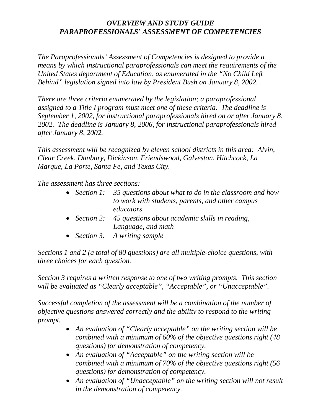#### *OVERVIEW AND STUDY GUIDE PARAPROFESSIONALS' ASSESSMENT OF COMPETENCIES*

*The Paraprofessionals' Assessment of Competencies is designed to provide a means by which instructional paraprofessionals can meet the requirements of the United States department of Education, as enumerated in the "No Child Left Behind" legislation signed into law by President Bush on January 8, 2002.*

*There are three criteria enumerated by the legislation; a paraprofessional assigned to a Title I program must meet one of these criteria. The deadline is September 1, 2002, for instructional paraprofessionals hired on or after January 8, 2002. The deadline is January 8, 2006, for instructional paraprofessionals hired after January 8, 2002.* 

*This assessment will be recognized by eleven school districts in this area: Alvin, Clear Creek, Danbury, Dickinson, Friendswood, Galveston, Hitchcock, La Marque, La Porte, Santa Fe, and Texas City.*

*The assessment has three sections:* 

- *Section 1: 35 questions about what to do in the classroom and how to work with students, parents, and other campus educators*
- *Section 2: 45 questions about academic skills in reading, Language, and math*
- *Section 3: A writing sample*

*Sections 1 and 2 (a total of 80 questions) are all multiple-choice questions, with three choices for each question.*

*Section 3 requires a written response to one of two writing prompts. This section will be evaluated as "Clearly acceptable", "Acceptable", or "Unacceptable".*

*Successful completion of the assessment will be a combination of the number of objective questions answered correctly and the ability to respond to the writing prompt.*

- *An evaluation of "Clearly acceptable" on the writing section will be combined with a minimum of 60% of the objective questions right (48 questions) for demonstration of competency.*
- *An evaluation of "Acceptable" on the writing section will be combined with a minimum of 70% of the objective questions right (56 questions) for demonstration of competency.*
- *An evaluation of "Unacceptable" on the writing section will not result in the demonstration of competency.*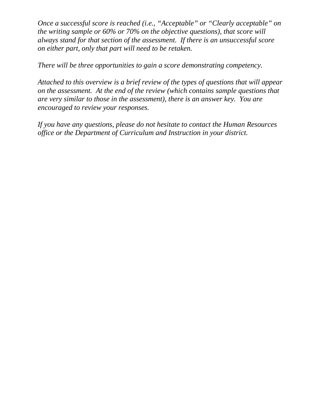*Once a successful score is reached (i.e., "Acceptable" or "Clearly acceptable" on the writing sample or 60% or 70% on the objective questions), that score will always stand for that section of the assessment. If there is an unsuccessful score on either part, only that part will need to be retaken.*

*There will be three opportunities to gain a score demonstrating competency.*

*Attached to this overview is a brief review of the types of questions that will appear on the assessment. At the end of the review (which contains sample questions that are very similar to those in the assessment), there is an answer key. You are encouraged to review your responses.*

*If you have any questions, please do not hesitate to contact the Human Resources office or the Department of Curriculum and Instruction in your district.*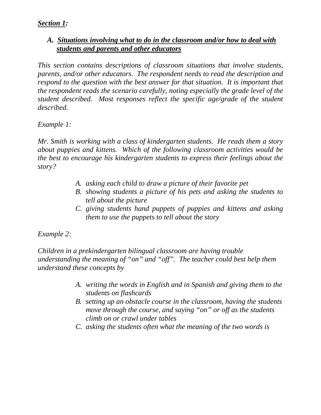#### *Section 1:*

#### *A. Situations involving what to do in the classroom and/or how to deal with students and parents and other educators*

*This section contains descriptions of classroom situations that involve students, parents, and/or other educators. The respondent needs to read the description and respond to the question with the best answer for that situation. It is important that the respondent reads the scenario carefully, noting especially the grade level of the student described. Most responses reflect the specific age/grade of the student described.*

*Example 1:*

*Mr. Smith is working with a class of kindergarten students. He reads them a story about puppies and kittens. Which of the following classroom activities would be the best to encourage his kindergarten students to express their feelings about the story?*

- *A. asking each child to draw a picture of their favorite pet*
- *B. showing students a picture of his pets and asking the students to tell about the picture*
- *C. giving students hand puppets of puppies and kittens and asking them to use the puppets to tell about the story*

#### *Example 2:*

*Children in a prekindergarten bilingual classroom are having trouble understanding the meaning of "on" and "off". The teacher could best help them understand these concepts by* 

- *A. writing the words in English and in Spanish and giving them to the students on flashcards*
- *B. setting up an obstacle course in the classroom, having the students move through the course, and saying "on" or off as the students climb on or crawl under tables*
- *C. asking the students often what the meaning of the two words is*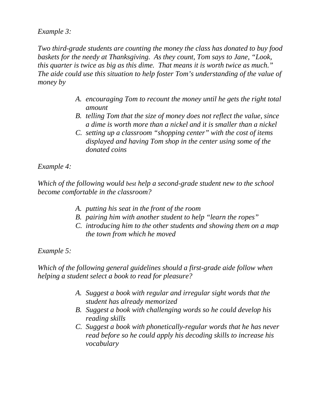*Example 3:*

*Two third-grade students are counting the money the class has donated to buy food baskets for the needy at Thanksgiving. As they count, Tom says to Jane, "Look, this quarter is twice as big as this dime. That means it is worth twice as much." The aide could use this situation to help foster Tom's understanding of the value of money by*

- *A. encouraging Tom to recount the money until he gets the right total amount*
- *B. telling Tom that the size of money does not reflect the value, since a dime is worth more than a nickel and it is smaller than a nickel*
- *C. setting up a classroom "shopping center" with the cost of items displayed and having Tom shop in the center using some of the donated coins*

*Example 4:*

*Which of the following would best help a second-grade student new to the school become comfortable in the classroom?*

- *A. putting his seat in the front of the room*
- *B. pairing him with another student to help "learn the ropes"*
- *C. introducing him to the other students and showing them on a map the town from which he moved*

*Example 5:*

*Which of the following general guidelines should a first-grade aide follow when helping a student select a book to read for pleasure?*

- *A. Suggest a book with regular and irregular sight words that the student has already memorized*
- *B. Suggest a book with challenging words so he could develop his reading skills*
- *C. Suggest a book with phonetically-regular words that he has never read before so he could apply his decoding skills to increase his vocabulary*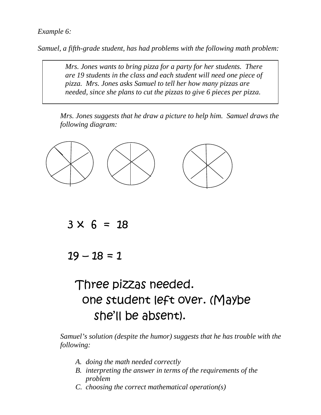#### *Example 6:*

*Samuel, a fifth-grade student, has had problems with the following math problem:*

*Mrs. Jones wants to bring pizza for a party for her students. There are 19 students in the class and each student will need one piece of pizza. Mrs. Jones asks Samuel to tell her how many pizzas are needed, since she plans to cut the pizzas to give 6 pieces per pizza.* 

 *Mrs. Jones suggests that he draw a picture to help him. Samuel draws the following diagram:*



 $3 \times 6 = 18$ 

 $19 - 18 = 1$ 

# Three pizzas needed. one student left over. (Maybe she'll be absent).

*Samuel's solution (despite the humor) suggests that he has trouble with the following:*

- *A. doing the math needed correctly*
- *B. interpreting the answer in terms of the requirements of the problem*
- *C. choosing the correct mathematical operation(s)*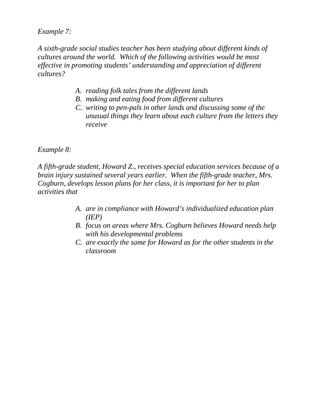*Example 7:*

*A sixth-grade social studies teacher has been studying about different kinds of cultures around the world. Which of the following activities would be most effective in promoting students' understanding and appreciation of different cultures?*

- *A. reading folk tales from the different lands*
- *B. making and eating food from different cultures*
- *C. writing to pen-pals in other lands and discussing some of the unusual things they learn about each culture from the letters they receive*

*Example 8:*

*A fifth-grade student, Howard Z., receives special education services because of a brain injury sustained several years earlier. When the fifth-grade teacher, Mrs. Cogburn, develops lesson plans for her class, it is important for her to plan activities that*

- *A. are in compliance with Howard's individualized education plan (IEP)*
- *B. focus on areas where Mrs. Cogburn believes Howard needs help with his developmental problems*
- *C. are exactly the same for Howard as for the other students in the classroom*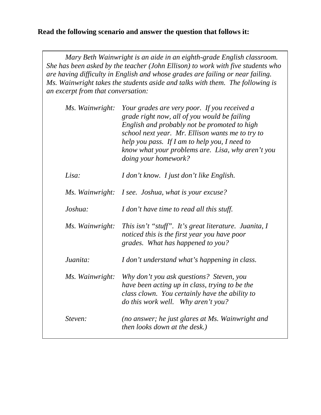#### **Read the following scenario and answer the question that follows it:**

*Mary Beth Wainwright is an aide in an eighth-grade English classroom. She has been asked by the teacher (John Ellison) to work with five students who are having difficulty in English and whose grades are failing or near failing. Ms. Wainwright takes the students aside and talks with them. The following is an excerpt from that conversation:*

| Ms. Wainwright: | Your grades are very poor. If you received a<br>grade right now, all of you would be failing<br>English and probably not be promoted to high<br>school next year. Mr. Ellison wants me to try to<br>help you pass. If I am to help you, I need to<br>know what your problems are. Lisa, why aren't you<br>doing your homework? |
|-----------------|--------------------------------------------------------------------------------------------------------------------------------------------------------------------------------------------------------------------------------------------------------------------------------------------------------------------------------|
| Lisa:           | I don't know. I just don't like English.                                                                                                                                                                                                                                                                                       |
|                 | Ms. Wainwright: I see. Joshua, what is your excuse?                                                                                                                                                                                                                                                                            |
| Joshua:         | I don't have time to read all this stuff.                                                                                                                                                                                                                                                                                      |
| Ms. Wainwright: | This isn't "stuff". It's great literature. Juanita, I<br>noticed this is the first year you have poor<br>grades. What has happened to you?                                                                                                                                                                                     |
| Juanita:        | I don't understand what's happening in class.                                                                                                                                                                                                                                                                                  |
| Ms. Wainwright: | Why don't you ask questions? Steven, you<br>have been acting up in class, trying to be the<br>class clown. You certainly have the ability to<br>do this work well. Why aren't you?                                                                                                                                             |
| Steven:         | (no answer; he just glares at Ms. Wainwright and<br>then looks down at the desk.)                                                                                                                                                                                                                                              |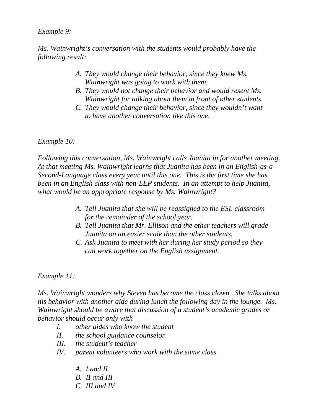#### *Example 9:*

*Ms. Wainwright's conversation with the students would probably have the following result:*

- *A. They would change their behavior, since they knew Ms. Wainwright was going to work with them.*
- *B. They would not change their behavior and would resent Ms. Wainwright for talking about them in front of other students.*
- *C. They would change their behavior, since they wouldn't want to have another conversation like this one.*

*Example 10:*

*Following this conversation, Ms. Wainwright calls Juanita in for another meeting. At that meeting Ms. Wainwright learns that Juanita has been in an English-as-a-Second-Language class every year until this one. This is the first time she has been in an English class with non-LEP students. In an attempt to help Juanita, what would be an appropriate response by Ms. Wainwright?*

- *A. Tell Juanita that she will be reassigned to the ESL classroom for the remainder of the school year.*
- *B. Tell Juanita that Mr. Ellison and the other teachers will grade Juanita on an easier scale than the other students.*
- *C. Ask Juanita to meet with her during her study period so they can work together on the English assignment.*

*Example 11:*

*Ms. Wainwright wonders why Steven has become the class clown. She talks about his behavior with another aide during lunch the following day in the lounge. Ms. Wainwright should be aware that discussion of a student's academic grades or behavior should occur only with*

- *I. other aides who know the student*
- *II. the school guidance counselor*
- *III. the student's teacher*
- *IV. parent volunteers who work with the same class*
	- *A. I and II*
	- *B. II and III*
	- *C. III and IV*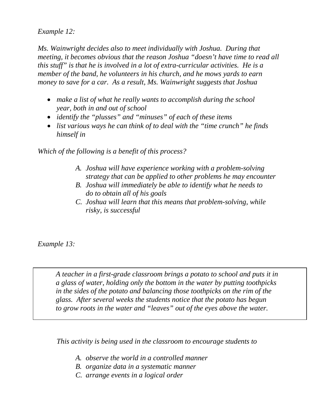*Example 12:*

*Ms. Wainwright decides also to meet individually with Joshua. During that meeting, it becomes obvious that the reason Joshua "doesn't have time to read all this stuff" is that he is involved in a lot of extra-curricular activities. He is a member of the band, he volunteers in his church, and he mows yards to earn money to save for a car. As a result, Ms. Wainwright suggests that Joshua*

- *make a list of what he really wants to accomplish during the school year, both in and out of school*
- *identify the "plusses" and "minuses" of each of these items*
- *list various ways he can think of to deal with the "time crunch" he finds himself in*

*Which of the following is a benefit of this process?*

- *A. Joshua will have experience working with a problem-solving strategy that can be applied to other problems he may encounter*
- *B. Joshua will immediately be able to identify what he needs to do to obtain all of his goals*
- *C. Joshua will learn that this means that problem-solving, while risky, is successful*

*Example 13:*

*A teacher in a first-grade classroom brings a potato to school and puts it in a glass of water, holding only the bottom in the water by putting toothpicks in the sides of the potato and balancing those toothpicks on the rim of the glass. After several weeks the students notice that the potato has begun to grow roots in the water and "leaves" out of the eyes above the water.*

*This activity is being used in the classroom to encourage students to*

- *A. observe the world in a controlled manner*
- *B. organize data in a systematic manner*
- *C. arrange events in a logical order*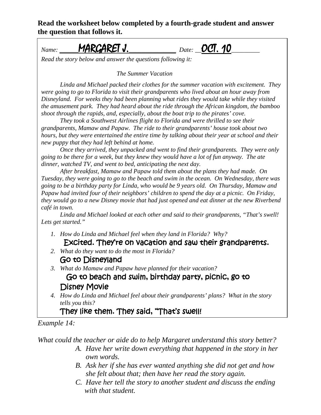**Read the worksheet below completed by a fourth-grade student and answer the question that follows it.**

## *Name: \_\_\_\_\_\_*MARGARET J.*\_\_\_\_\_\_\_\_\_\_\_\_\_\_\_ Date: \_\_*OCT. 10*\_\_\_\_\_\_\_\_\_*

*Read the story below and answer the questions following it:*

*The Summer Vacation*

*Linda and Michael packed their clothes for the summer vacation with excitement. They were going to go to Florida to visit their grandparents who lived about an hour away from Disneyland. For weeks they had been planning what rides they would take while they visited the amusement park. They had heard about the ride through the African kingdom, the bamboo shoot through the rapids, and, especially, about the boat trip to the pirates' cove.*

*They took a Southwest Airlines flight to Florida and were thrilled to see their grandparents, Mamaw and Papaw. The ride to their grandparents' house took about two hours, but they were entertained the entire time by talking about their year at school and their new puppy that they had left behind at home.*

*Once they arrived, they unpacked and went to find their grandparents. They were only going to be there for a week, but they knew they would have a lot of fun anyway. The ate dinner, watched TV, and went to bed, anticipating the next day.*

*After breakfast, Mamaw and Papaw told them about the plans they had made. On Tuesday, they were going to go to the beach and swim in the ocean. On Wednesday, there was going to be a birthday party for Linda, who would be 9 years old. On Thursday, Mamaw and Papaw had invited four of their neighbors' children to spend the day at a picnic. On Friday, they would go to a new Disney movie that had just opened and eat dinner at the new Riverbend café in town.*

*Linda and Michael looked at each other and said to their grandparents, "That's swell! Lets get started."*

- *1. How do Linda and Michael feel when they land in Florida? Why?* Excited. They're on vacation and saw their grandparents.
- *2. What do they want to do the most in Florida?*
	- Go to Disneyland
- *3. What do Mamaw and Papaw have planned for their vacation?*

Go to beach and swim, birthday party, picnic, go to Disney Movie

*4. How do Linda and Michael feel about their grandparents' plans? What in the story tells you this?*

## They like them. They said, "That's swell!

#### *Example 14:*

*What could the teacher or aide do to help Margaret understand this story better?*

- *A. Have her write down everything that happened in the story in her own words.*
- *B. Ask her if she has ever wanted anything she did not get and how she felt about that; then have her read the story again.*
- *C. Have her tell the story to another student and discuss the ending with that student.*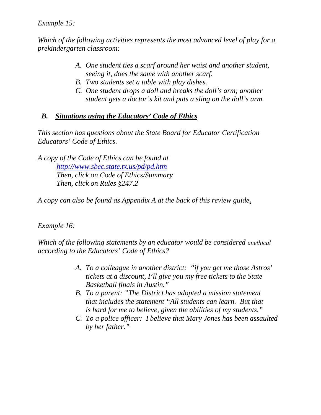#### *Example 15:*

*Which of the following activities represents the most advanced level of play for a prekindergarten classroom:*

- *A. One student ties a scarf around her waist and another student, seeing it, does the same with another scarf.*
- *B. Two students set a table with play dishes.*
- *C. One student drops a doll and breaks the doll's arm; another student gets a doctor's kit and puts a sling on the doll's arm.*

#### *B. Situations using the Educators' Code of Ethics*

*This section has questions about the State Board for Educator Certification Educators' Code of Ethics.*

*A copy of the Code of Ethics can be found at <http://www.sbec.state.tx.us/pd/pd.htm> Then, click on Code of Ethics/Summary Then, click on Rules §247.2*

*A copy can also be found as Appendix A at the back of this review guide.*

#### *Example 16:*

*Which of the following statements by an educator would be considered unethical according to the Educators' Code of Ethics?*

- *A. To a colleague in another district: "if you get me those Astros' tickets at a discount, I'll give you my free tickets to the State Basketball finals in Austin."*
- *B. To a parent: "The District has adopted a mission statement that includes the statement "All students can learn. But that is hard for me to believe, given the abilities of my students."*
- *C. To a police officer: I believe that Mary Jones has been assaulted by her father."*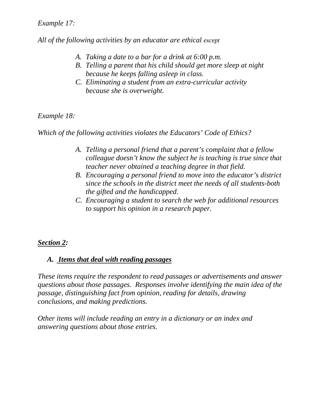#### *Example 17:*

*All of the following activities by an educator are ethical except*

- *A. Taking a date to a bar for a drink at 6:00 p.m.*
- *B. Telling a parent that his child should get more sleep at night because he keeps falling asleep in class.*
- *C. Eliminating a student from an extra-curricular activity because she is overweight.*

#### *Example 18:*

*Which of the following activities violates the Educators' Code of Ethics?*

- *A. Telling a personal friend that a parent's complaint that a fellow colleague doesn't know the subject he is teaching is true since that teacher never obtained a teaching degree in that field.*
- *B. Encouraging a personal friend to move into the educator's district since the schools in the district meet the needs of all students-both the gifted and the handicapped.*
- *C. Encouraging a student to search the web for additional resources to support his opinion in a research paper.*

#### *Section 2:*

#### *A. Items that deal with reading passages*

*These items require the respondent to read passages or advertisements and answer questions about those passages. Responses involve identifying the main idea of the passage, distinguishing fact from opinion, reading for details, drawing conclusions, and making predictions.*

*Other items will include reading an entry in a dictionary or an index and answering questions about those entries.*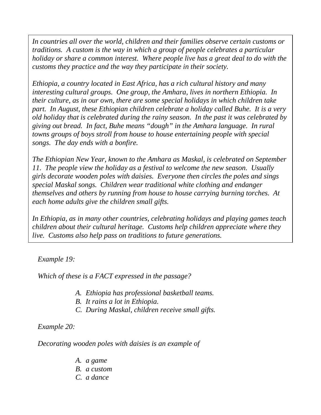*In countries all over the world, children and their families observe certain customs or traditions. A custom is the way in which a group of people celebrates a particular holiday or share a common interest. Where people live has a great deal to do with the customs they practice and the way they participate in their society.*

*Ethiopia, a country located in East Africa, has a rich cultural history and many interesting cultural groups. One group, the Amhara, lives in northern Ethiopia. In their culture, as in our own, there are some special holidays in which children take part. In August, these Ethiopian children celebrate a holiday called Buhe. It is a very old holiday that is celebrated during the rainy season. In the past it was celebrated by giving out bread. In fact, Buhe means "dough" in the Amhara language. In rural towns groups of boys stroll from house to house entertaining people with special songs. The day ends with a bonfire.*

*The Ethiopian New Year, known to the Amhara as Maskal, is celebrated on September 11. The people view the holiday as a festival to welcome the new season. Usually girls decorate wooden poles with daisies. Everyone then circles the poles and sings special Maskal songs. Children wear traditional white clothing and endanger themselves and others by running from house to house carrying burning torches. At each home adults give the children small gifts.*

*In Ethiopia, as in many other countries, celebrating holidays and playing games teach children about their cultural heritage. Customs help children appreciate where they live. Customs also help pass on traditions to future generations.*

*Example 19:*

*Which of these is a FACT expressed in the passage?*

- *A. Ethiopia has professional basketball teams.*
- *B. It rains a lot in Ethiopia.*
- *C. During Maskal, children receive small gifts.*

*Example 20:*

*Decorating wooden poles with daisies is an example of* 

- *A. a game*
- *B. a custom*
- *C. a dance*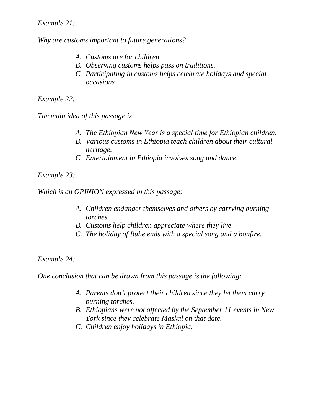#### *Example 21:*

*Why are customs important to future generations?*

- *A. Customs are for children.*
- *B. Observing customs helps pass on traditions.*
- *C. Participating in customs helps celebrate holidays and special occasions*

*Example 22:*

*The main idea of this passage is*

- *A. The Ethiopian New Year is a special time for Ethiopian children.*
- *B. Various customs in Ethiopia teach children about their cultural heritage.*
- *C. Entertainment in Ethiopia involves song and dance.*

*Example 23:* 

*Which is an OPINION expressed in this passage:*

- *A. Children endanger themselves and others by carrying burning torches.*
- *B. Customs help children appreciate where they live.*
- *C. The holiday of Buhe ends with a special song and a bonfire.*

*Example 24:*

*One conclusion that can be drawn from this passage is the following:*

- *A. Parents don't protect their children since they let them carry burning torches.*
- *B. Ethiopians were not affected by the September 11 events in New York since they celebrate Maskal on that date.*
- *C. Children enjoy holidays in Ethiopia.*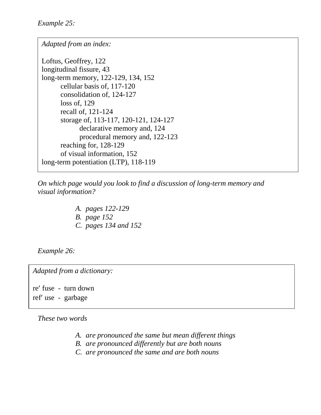*Adapted from an index:*

Loftus, Geoffrey, 122 longitudinal fissure, 43 long-term memory, 122-129, 134, 152 cellular basis of, 117-120 consolidation of, 124-127 loss of, 129 recall of, 121-124 storage of, 113-117, 120-121, 124-127 declarative memory and, 124 procedural memory and, 122-123 reaching for, 128-129 of visual information, 152 long-term potentiation (LTP), 118-119

*On which page would you look to find a discussion of long-term memory and visual information?*

> *A. pages 122-129 B. page 152 C. pages 134 and 152*

*Example 26:*

*Adapted from a dictionary:*

re′ fuse - turn down ref′ use - garbage

*These two words*

- *A. are pronounced the same but mean different things*
- *B. are pronounced differently but are both nouns*
- *C. are pronounced the same and are both nouns*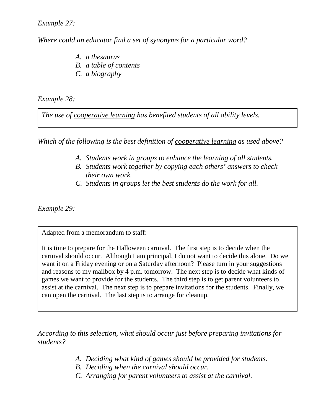*Example 27:*

*Where could an educator find a set of synonyms for a particular word?*

- *A. a thesaurus*
- *B. a table of contents*
- *C. a biography*

*Example 28:*

*The use of cooperative learning has benefited students of all ability levels.*

*Which of the following is the best definition of cooperative learning as used above?*

- *A. Students work in groups to enhance the learning of all students.*
- *B. Students work together by copying each others' answers to check their own work.*
- *C. Students in groups let the best students do the work for all.*

*Example 29:*

Adapted from a memorandum to staff:

It is time to prepare for the Halloween carnival. The first step is to decide when the carnival should occur. Although I am principal, I do not want to decide this alone. Do we want it on a Friday evening or on a Saturday afternoon? Please turn in your suggestions and reasons to my mailbox by 4 p.m. tomorrow. The next step is to decide what kinds of games we want to provide for the students. The third step is to get parent volunteers to assist at the carnival. The next step is to prepare invitations for the students. Finally, we can open the carnival. The last step is to arrange for cleanup.

*According to this selection, what should occur just before preparing invitations for students?*

- *A. Deciding what kind of games should be provided for students.*
- *B. Deciding when the carnival should occur.*
- *C. Arranging for parent volunteers to assist at the carnival.*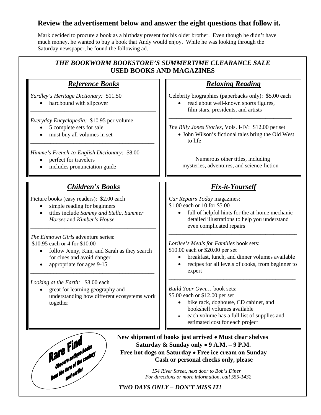#### **Review the advertisement below and answer the eight questions that follow it.**

Mark decided to procure a book as a birthday present for his older brother. Even though he didn't have much money, he wanted to buy a book that Andy would enjoy. While he was looking through the Saturday newspaper, he found the following ad.

| <b>Relaxing Reading</b>                                                                                                                                                                                              |  |  |  |
|----------------------------------------------------------------------------------------------------------------------------------------------------------------------------------------------------------------------|--|--|--|
| Celebrity biographies (paperbacks only): \$5.00 each<br>read about well-known sports figures,<br>film stars, presidents, and artists                                                                                 |  |  |  |
| The Billy Jones Stories, Vols. I-IV: \$12.00 per set<br>• John Wilson's fictional tales bring the Old West<br>to life<br>Numerous other titles, including<br>mysteries, adventures, and science fiction              |  |  |  |
|                                                                                                                                                                                                                      |  |  |  |
| Car Repairs Today magazines:<br>\$1.00 each or 10 for \$5.00<br>full of helpful hints for the at-home mechanic<br>$\bullet$<br>detailed illustrations to help you understand<br>even complicated repairs             |  |  |  |
| Lorilee's Meals for Families book sets:<br>\$10.00 each or \$20.00 per set<br>breakfast, lunch, and dinner volumes available<br>recipes for all levels of cooks, from beginner to<br>$\bullet$<br>expert             |  |  |  |
| Build Your Own book sets:<br>\$5.00 each or \$12.00 per set<br>bike rack, doghouse, CD cabinet, and<br>bookshelf volumes available<br>each volume has a full list of supplies and<br>estimated cost for each project |  |  |  |
| New shipment of books just arrived • Must clear shelves                                                                                                                                                              |  |  |  |
| Saturday & Sunday only $\bullet$ 9 A.M. - 9 P.M.<br>Free hot dogs on Saturday . Free ice cream on Sunday                                                                                                             |  |  |  |
|                                                                                                                                                                                                                      |  |  |  |

 *TWO DAYS ONLY – DON'T MISS IT!*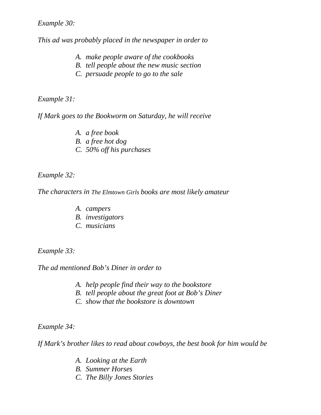*Example 30:*

*This ad was probably placed in the newspaper in order to* 

- *A. make people aware of the cookbooks*
- *B. tell people about the new music section*
- *C. persuade people to go to the sale*

*Example 31:*

*If Mark goes to the Bookworm on Saturday, he will receive*

*A. a free book B. a free hot dog C. 50% off his purchases*

*Example 32:*

*The characters in The Elmtown Girls books are most likely amateur*

- *A. campers*
- *B. investigators*
- *C. musicians*

*Example 33:*

*The ad mentioned Bob's Diner in order to*

- *A. help people find their way to the bookstore*
- *B. tell people about the great foot at Bob's Diner*
- *C. show that the bookstore is downtown*

*Example 34:*

*If Mark's brother likes to read about cowboys, the best book for him would be*

- *A. Looking at the Earth*
- *B. Summer Horses*
- *C. The Billy Jones Stories*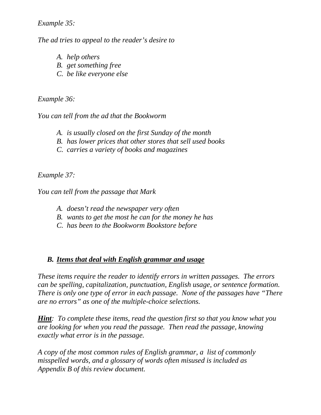#### *Example 35:*

*The ad tries to appeal to the reader's desire to* 

- *A. help others*
- *B. get something free*
- *C. be like everyone else*

#### *Example 36:*

*You can tell from the ad that the Bookworm* 

- *A. is usually closed on the first Sunday of the month*
- *B. has lower prices that other stores that sell used books*
- *C. carries a variety of books and magazines*

*Example 37:*

*You can tell from the passage that Mark*

- *A. doesn't read the newspaper very often*
- *B. wants to get the most he can for the money he has*
- *C. has been to the Bookworm Bookstore before*

#### *B. Items that deal with English grammar and usage*

*These items require the reader to identify errors in written passages. The errors can be spelling, capitalization, punctuation, English usage, or sentence formation. There is only one type of error in each passage. None of the passages have "There are no errors" as one of the multiple-choice selections.*

*Hint: To complete these items, read the question first so that you know what you are looking for when you read the passage. Then read the passage, knowing exactly what error is in the passage.*

*A copy of the most common rules of English grammar, a list of commonly misspelled words, and a glossary of words often misused is included as Appendix B of this review document.*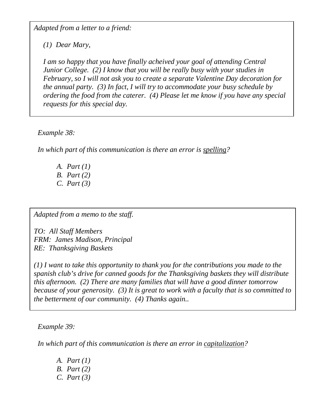*Adapted from a letter to a friend:*

*(1) Dear Mary,*

*I am so happy that you have finally acheived your goal of attending Central Junior College. (2) I know that you will be really busy with your studies in February, so I will not ask you to create a separate Valentine Day decoration for the annual party. (3) In fact, I will try to accommodate your busy schedule by ordering the food from the caterer. (4) Please let me know if you have any special requests for this special day.*

*Example 38:*

*In which part of this communication is there an error is spelling?*

*A. Part (1) B. Part (2) C. Part (3)*

*Adapted from a memo to the staff.*

*TO: All Staff Members FRM: James Madison, Principal RE: Thanksgiving Baskets*

*(1) I want to take this opportunity to thank you for the contributions you made to the spanish club's drive for canned goods for the Thanksgiving baskets they will distribute this afternoon. (2) There are many families that will have a good dinner tomorrow because of your generosity. (3) It is great to work with a faculty that is so committed to the betterment of our community. (4) Thanks again..* 

*Example 39:*

*In which part of this communication is there an error in capitalization?*

*A. Part (1) B. Part (2) C. Part (3)*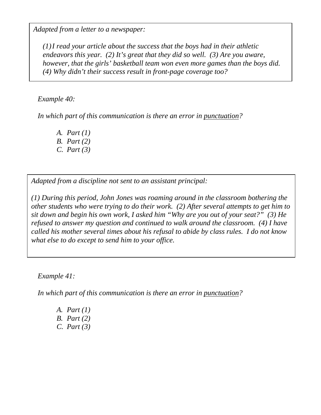*Adapted from a letter to a newspaper:*

*(1)I read your article about the success that the boys had in their athletic endeavors this year. (2) It's great that they did so well. (3) Are you aware, however, that the girls' basketball team won even more games than the boys did. (4) Why didn't their success result in front-page coverage too?*

#### *Example 40:*

*In which part of this communication is there an error in punctuation?*

- *A. Part (1) B. Part (2)*
- *C. Part (3)*

*Adapted from a discipline not sent to an assistant principal:*

*(1) During this period, John Jones was roaming around in the classroom bothering the other students who were trying to do their work. (2) After several attempts to get him to sit down and begin his own work, I asked him "Why are you out of your seat?" (3) He refused to answer my question and continued to walk around the classroom. (4) I have called his mother several times about his refusal to abide by class rules. I do not know what else to do except to send him to your office.*

*Example 41:*

*In which part of this communication is there an error in punctuation?*

*A. Part (1) B. Part (2) C. Part (3)*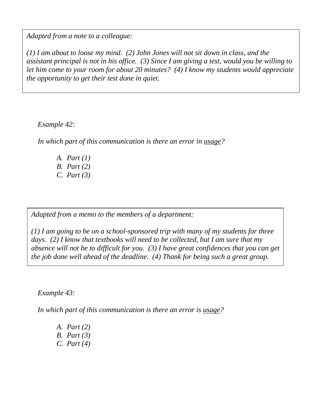*Adapted from a note to a colleague:*

*(1) I am about to loose my mind. (2) John Jones will not sit down in class, and the assistant principal is not in his office. (3) Since I am giving a test, would you be willing to let him come to your room for about 20 minutes? (4) I know my students would appreciate the opportunity to get their test done in quiet.*

*Example 42:*

*In which part of this communication is there an error in usage?*

*A. Part (1) B. Part (2) C. Part (3)*

*Adapted from a memo to the members of a department:*

*(1) I am going to be on a school-sponsored trip with many of my students for three days. (2) I know that textbooks will need to be collected, but I am sure that my absence will not be to difficult for you. (3) I have great confidences that you can get the job done well ahead of the deadline. (4) Thank for being such a great group.*

*Example 43:*

*In which part of this communication is there an error is usage?*

*A. Part (2) B. Part (3) C. Part (4)*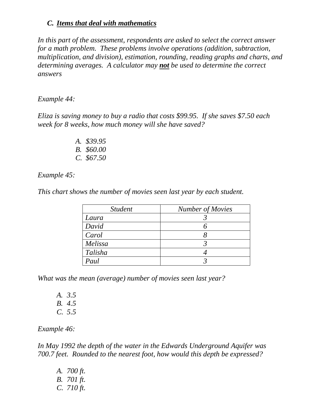#### *C. Items that deal with mathematics*

*In this part of the assessment, respondents are asked to select the correct answer for a math problem. These problems involve operations (addition, subtraction, multiplication, and division), estimation, rounding, reading graphs and charts, and determining averages. A calculator may not be used to determine the correct answers*

#### *Example 44:*

*Eliza is saving money to buy a radio that costs \$99.95. If she saves \$7.50 each week for 8 weeks, how much money will she have saved?*

> *A. \$39.95 B. \$60.00 C. \$67.50*

*Example 45:*

*This chart shows the number of movies seen last year by each student.*

| <i>Student</i> | <b>Number of Movies</b> |  |  |
|----------------|-------------------------|--|--|
| Laura          |                         |  |  |
| David          |                         |  |  |
| Carol          |                         |  |  |
| Melissa        |                         |  |  |
| Talisha        |                         |  |  |
| Paul           |                         |  |  |

*What was the mean (average) number of movies seen last year?*

- *A. 3.5 B. 4.5*
- *C. 5.5*

*Example 46:*

*In May 1992 the depth of the water in the Edwards Underground Aquifer was 700.7 feet. Rounded to the nearest foot, how would this depth be expressed?*

*A. 700 ft. B. 701 ft. C. 710 ft.*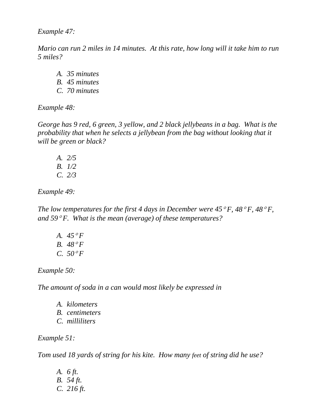*Example 47:*

*Mario can run 2 miles in 14 minutes. At this rate, how long will it take him to run 5 miles?*

*A. 35 minutes B. 45 minutes C. 70 minutes*

*Example 48:*

*George has 9 red, 6 green, 3 yellow, and 2 black jellybeans in a bag. What is the probability that when he selects a jellybean from the bag without looking that it will be green or black?*

*A. 2/5 B. 1/2 C. 2/3*

*Example 49:*

*The low temperatures for the first 4 days in December were*  $45^{\circ}F$ *,*  $48^{\circ}F$ *,*  $48^{\circ}F$ *, and 59*° *F. What is the mean (average) of these temperatures?*

*A. 45*° *F B. 48*° *F C. 50*° *F*

*Example 50:*

*The amount of soda in a can would most likely be expressed in*

*A. kilometers B. centimeters C. milliliters*

*Example 51:*

*Tom used 18 yards of string for his kite. How many feet of string did he use?*

*A. 6 ft. B. 54 ft. C. 216 ft.*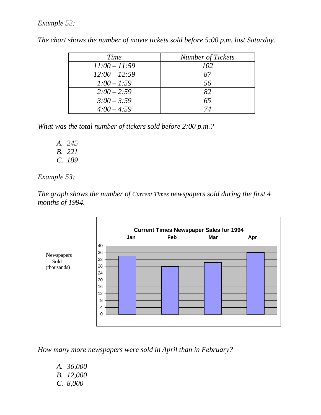#### *Example 52:*

| Time            | <b>Number of Tickets</b> |
|-----------------|--------------------------|
| $11:00 - 11:59$ | 102                      |
| $12:00 - 12:59$ | 87                       |
| $1:00 - 1:59$   | 56                       |
| $2:00 - 2:59$   | 82                       |
| $3:00 - 3:59$   | 65                       |
| $4:00 - 4:59$   | 74                       |

*The chart shows the number of movie tickets sold before 5:00 p.m. last Saturday.*

*What was the total number of tickers sold before 2:00 p.m.?*

- *A. 245 B. 221*
- *C. 189*

*Example 53:*

*The graph shows the number of Current Times newspapers sold during the first 4 months of 1994.*



*How many more newspapers were sold in April than in February?*

- *A. 36,000 B. 12,000*
- *C. 8,000*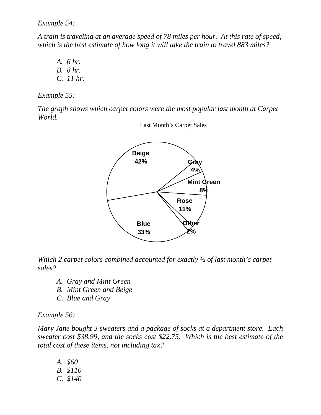*Example 54:*

*A train is traveling at an average speed of 78 miles per hour. At this rate of speed, which is the best estimate of how long it will take the train to travel 883 miles?*

*A. 6 hr. B. 8 hr. C. 11 hr.*

*Example 55:*

*The graph shows which carpet colors were the most popular last month at Carpet World.*



Last Month's Carpet Sales

*Which 2 carpet colors combined accounted for exactly ½ of last month's carpet sales?*

- *A. Gray and Mint Green*
- *B. Mint Green and Beige*
- *C. Blue and Gray*

#### *Example 56:*

*Mary Jane bought 3 sweaters and a package of socks at a department store. Each sweater cost \$38.99, and the socks cost \$22.75. Which is the best estimate of the total cost of these items, not including tax?*

*A. \$60 B. \$110 C. \$140*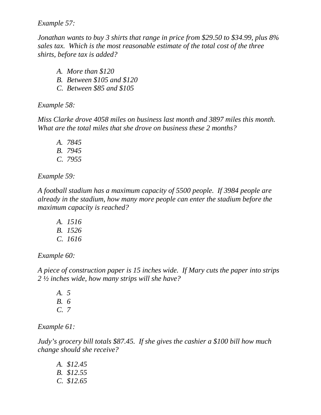*Example 57:*

*Jonathan wants to buy 3 shirts that range in price from \$29.50 to \$34.99, plus 8% sales tax. Which is the most reasonable estimate of the total cost of the three shirts, before tax is added?*

- *A. More than \$120 B. Between \$105 and \$120*
- *C. Between \$85 and \$105*

*Example 58:*

*Miss Clarke drove 4058 miles on business last month and 3897 miles this month. What are the total miles that she drove on business these 2 months?*

*A. 7845 B. 7945 C. 7955*

*Example 59:*

*A football stadium has a maximum capacity of 5500 people. If 3984 people are already in the stadium, how many more people can enter the stadium before the maximum capacity is reached?*

*A. 1516 B. 1526 C. 1616*

*Example 60:*

*A piece of construction paper is 15 inches wide. If Mary cuts the paper into strips 2 ½ inches wide, how many strips will she have?*

*A. 5 B. 6 C. 7*

*Example 61:*

*Judy's grocery bill totals \$87.45. If she gives the cashier a \$100 bill how much change should she receive?*

*A. \$12.45 B. \$12.55 C. \$12.65*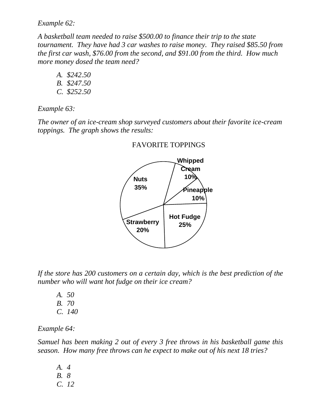*Example 62:* 

*A basketball team needed to raise \$500.00 to finance their trip to the state tournament. They have had 3 car washes to raise money. They raised \$85.50 from the first car wash, \$76.00 from the second, and \$91.00 from the third. How much more money dosed the team need?*

*A. \$242.50 B. \$247.50 C. \$252.50*

*Example 63:*

*The owner of an ice-cream shop surveyed customers about their favorite ice-cream toppings. The graph shows the results:*



FAVORITE TOPPINGS

*If the store has 200 customers on a certain day, which is the best prediction of the number who will want hot fudge on their ice cream?*

- *A. 50*
- *B. 70*
- *C. 140*

*Example 64:*

*Samuel has been making 2 out of every 3 free throws in his basketball game this season. How many free throws can he expect to make out of his next 18 tries?*

*A. 4 B. 8 C. 12*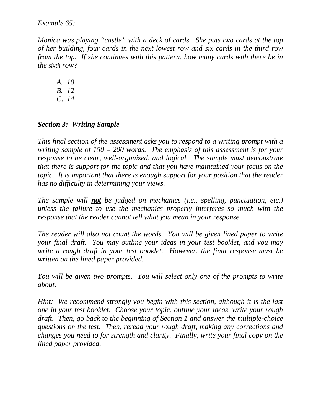*Example 65:*

*Monica was playing "castle" with a deck of cards. She puts two cards at the top of her building, four cards in the next lowest row and six cards in the third row from the top. If she continues with this pattern, how many cards with there be in the sixth row?*

*A. 10*

- *B. 12*
- *C. 14*

#### *Section 3: Writing Sample*

*This final section of the assessment asks you to respond to a writing prompt with a writing sample of 150 – 200 words. The emphasis of this assessment is for your response to be clear, well-organized, and logical. The sample must demonstrate that there is support for the topic and that you have maintained your focus on the topic. It is important that there is enough support for your position that the reader has no difficulty in determining your views.*

*The sample will not be judged on mechanics (i.e., spelling, punctuation, etc.) unless the failure to use the mechanics properly interferes so much with the response that the reader cannot tell what you mean in your response.*

*The reader will also not count the words. You will be given lined paper to write your final draft. You may outline your ideas in your test booklet, and you may write a rough draft in your test booklet. However, the final response must be written on the lined paper provided.*

*You will be given two prompts. You will select only one of the prompts to write about.*

*Hint: We recommend strongly you begin with this section, although it is the last one in your test booklet. Choose your topic, outline your ideas, write your rough draft. Then, go back to the beginning of Section 1 and answer the multiple-choice questions on the test. Then, reread your rough draft, making any corrections and changes you need to for strength and clarity. Finally, write your final copy on the lined paper provided.*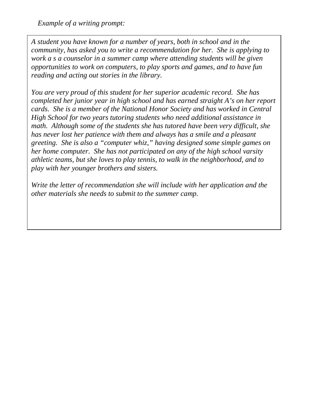*Example of a writing prompt:*

*A student you have known for a number of years, both in school and in the community, has asked you to write a recommendation for her. She is applying to work a s a counselor in a summer camp where attending students will be given opportunities to work on computers, to play sports and games, and to have fun reading and acting out stories in the library.*

*You are very proud of this student for her superior academic record. She has completed her junior year in high school and has earned straight A's on her report cards. She is a member of the National Honor Society and has worked in Central High School for two years tutoring students who need additional assistance in math. Although some of the students she has tutored have been very difficult, she has never lost her patience with them and always has a smile and a pleasant greeting. She is also a "computer whiz," having designed some simple games on her home computer. She has not participated on any of the high school varsity athletic teams, but she loves to play tennis, to walk in the neighborhood, and to play with her younger brothers and sisters.*

*Write the letter of recommendation she will include with her application and the other materials she needs to submit to the summer camp.*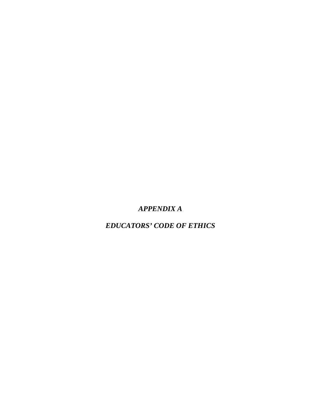### *APPENDIX A*

*EDUCATORS' CODE OF ETHICS*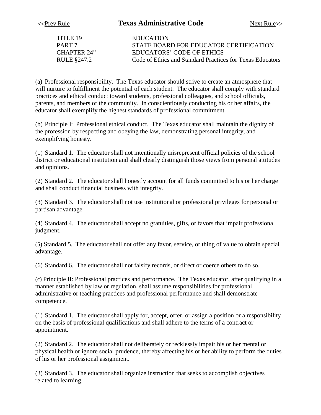| <b>EDUCATION</b>                                          |
|-----------------------------------------------------------|
| STATE BOARD FOR EDUCATOR CERTIFICATION                    |
| EDUCATORS' CODE OF ETHICS                                 |
| Code of Ethics and Standard Practices for Texas Educators |
|                                                           |

(a) Professional responsibility. The Texas educator should strive to create an atmosphere that will nurture to fulfillment the potential of each student. The educator shall comply with standard practices and ethical conduct toward students, professional colleagues, and school officials, parents, and members of the community. In conscientiously conducting his or her affairs, the educator shall exemplify the highest standards of professional commitment.

(b) Principle I: Professional ethical conduct. The Texas educator shall maintain the dignity of the profession by respecting and obeying the law, demonstrating personal integrity, and exemplifying honesty.

(1) Standard 1. The educator shall not intentionally misrepresent official policies of the school district or educational institution and shall clearly distinguish those views from personal attitudes and opinions.

(2) Standard 2. The educator shall honestly account for all funds committed to his or her charge and shall conduct financial business with integrity.

(3) Standard 3. The educator shall not use institutional or professional privileges for personal or partisan advantage.

(4) Standard 4. The educator shall accept no gratuities, gifts, or favors that impair professional judgment.

(5) Standard 5. The educator shall not offer any favor, service, or thing of value to obtain special advantage.

(6) Standard 6. The educator shall not falsify records, or direct or coerce others to do so.

(c) Principle II: Professional practices and performance. The Texas educator, after qualifying in a manner established by law or regulation, shall assume responsibilities for professional administrative or teaching practices and professional performance and shall demonstrate competence.

(1) Standard 1. The educator shall apply for, accept, offer, or assign a position or a responsibility on the basis of professional qualifications and shall adhere to the terms of a contract or appointment.

(2) Standard 2. The educator shall not deliberately or recklessly impair his or her mental or physical health or ignore social prudence, thereby affecting his or her ability to perform the duties of his or her professional assignment.

(3) Standard 3. The educator shall organize instruction that seeks to accomplish objectives related to learning.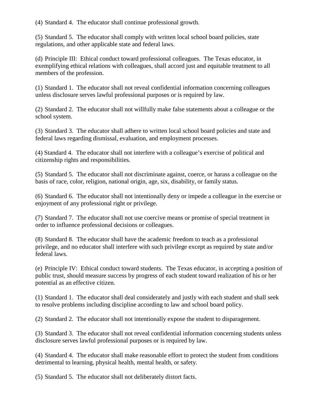(4) Standard 4. The educator shall continue professional growth.

(5) Standard 5. The educator shall comply with written local school board policies, state regulations, and other applicable state and federal laws.

(d) Principle III: Ethical conduct toward professional colleagues. The Texas educator, in exemplifying ethical relations with colleagues, shall accord just and equitable treatment to all members of the profession.

(1) Standard 1. The educator shall not reveal confidential information concerning colleagues unless disclosure serves lawful professional purposes or is required by law.

(2) Standard 2. The educator shall not willfully make false statements about a colleague or the school system.

(3) Standard 3. The educator shall adhere to written local school board policies and state and federal laws regarding dismissal, evaluation, and employment processes.

(4) Standard 4. The educator shall not interfere with a colleague's exercise of political and citizenship rights and responsibilities.

(5) Standard 5. The educator shall not discriminate against, coerce, or harass a colleague on the basis of race, color, religion, national origin, age, six, disability, or family status.

(6) Standard 6. The educator shall not intentionally deny or impede a colleague in the exercise or enjoyment of any professional right or privilege.

(7) Standard 7. The educator shall not use coercive means or promise of special treatment in order to influence professional decisions or colleagues.

(8) Standard 8. The educator shall have the academic freedom to teach as a professional privilege, and no educator shall interfere with such privilege except as required by state and/or federal laws.

(e) Principle IV: Ethical conduct toward students. The Texas educator, in accepting a position of public trust, should measure success by progress of each student toward realization of his or her potential as an effective citizen.

(1) Standard 1. The educator shall deal considerately and justly with each student and shall seek to resolve problems including discipline according to law and school board policy.

(2) Standard 2. The educator shall not intentionally expose the student to disparagement.

(3) Standard 3. The educator shall not reveal confidential information concerning students unless disclosure serves lawful professional purposes or is required by law.

(4) Standard 4. The educator shall make reasonable effort to protect the student from conditions detrimental to learning, physical health, mental health, or safety.

(5) Standard 5. The educator shall not deliberately distort facts.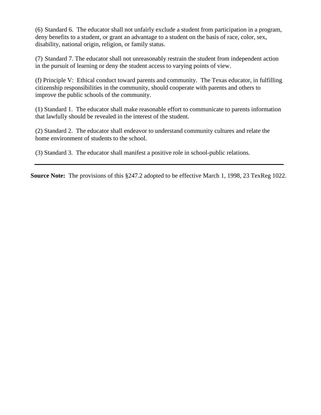(6) Standard 6. The educator shall not unfairly exclude a student from participation in a program, deny benefits to a student, or grant an advantage to a student on the basis of race, color, sex, disability, national origin, religion, or family status.

(7) Standard 7. The educator shall not unreasonably restrain the student from independent action in the pursuit of learning or deny the student access to varying points of view.

(f) Principle V: Ethical conduct toward parents and community. The Texas educator, in fulfilling citizenship responsibilities in the community, should cooperate with parents and others to improve the public schools of the community.

(1) Standard 1. The educator shall make reasonable effort to communicate to parents information that lawfully should be revealed in the interest of the student.

(2) Standard 2. The educator shall endeavor to understand community cultures and relate the home environment of students to the school.

(3) Standard 3. The educator shall manifest a positive role in school-public relations.

**Source Note:** The provisions of this §247.2 adopted to be effective March 1, 1998, 23 TexReg 1022.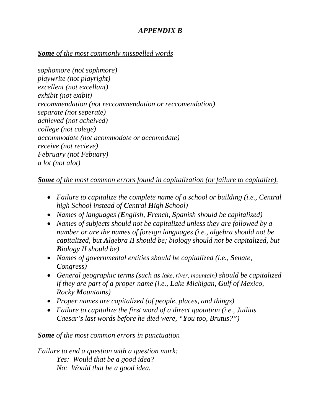#### *APPENDIX B*

#### *Some of the most commonly misspelled words*

*sophomore (not sophmore) playwrite (not playright) excellent (not excellant) exhibit (not exibit) recommendation (not reccommendation or reccomendation) separate (not seperate) achieved (not acheived) college (not colege) accommodate (not acommodate or accomodate) receive (not recieve) February (not Febuary) a lot (not alot)*

#### *Some of the most common errors found in capitalization (or failure to capitalize).*

- *Failure to capitalize the complete name of a school or building (i.e., Central high School instead of Central High School)*
- *Names of languages (English, French, Spanish should be capitalized)*
- *Names of subjects should not be capitalized unless they are followed by a number or are the names of foreign languages (i.e., algebra should not be capitalized, but Algebra II should be; biology should not be capitalized, but Biology II should be)*
- *Names of governmental entities should be capitalized (i.e., Senate, Congress)*
- *General geographic terms (such as lake, river, mountain) should be capitalized if they are part of a proper name (i.e., Lake Michigan, Gulf of Mexico, Rocky Mountains)*
- *Proper names are capitalized (of people, places, and things)*
- *Failure to capitalize the first word of a direct quotation (i.e., Juilius Caesar's last words before he died were, "You too, Brutus?")*

#### *Some of the most common errors in punctuation*

*Failure to end a question with a question mark: Yes: Would that be a good idea? No: Would that be a good idea.*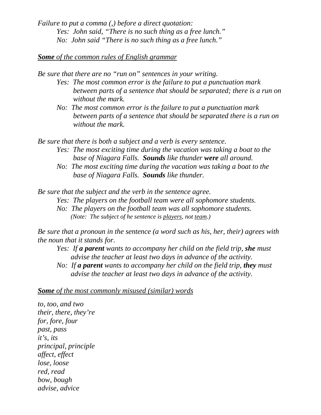*Failure to put a comma (,) before a direct quotation: Yes: John said, "There is no such thing as a free lunch." No: John said "There is no such thing as a free lunch."*

#### *Some of the common rules of English grammar*

*Be sure that there are no "run on" sentences in your writing.*

- *Yes: The most common error is the failure to put a punctuation mark between parts of a sentence that should be separated; there is a run on without the mark.*
- *No: The most common error is the failure to put a punctuation mark between parts of a sentence that should be separated there is a run on without the mark.*

*Be sure that there is both a subject and a verb is every sentence.* 

- *Yes: The most exciting time during the vacation was taking a boat to the base of Niagara Falls. Sounds like thunder were all around.*
- *No: The most exciting time during the vacation was taking a boat to the base of Niagara Falls. Sounds like thunder.*

*Be sure that the subject and the verb in the sentence agree.*

- *Yes: The players on the football team were all sophomore students.*
- *No: The players on the football team was all sophomore students. (Note: The subject of he sentence is players, not team.)*

*Be sure that a pronoun in the sentence (a word such as his, her, their) agrees with the noun that it stands for.*

- *Yes: If a parent wants to accompany her child on the field trip, she must advise the teacher at least two days in advance of the activity.*
- *No: If a parent wants to accompany her child on the field trip, they must advise the teacher at least two days in advance of the activity.*

#### *Some of the most commonly misused (similar) words*

*to, too, and two their, there, they're for, fore, four past, pass it's, its principal, principle affect, effect lose, loose red, read bow, bough advise, advice*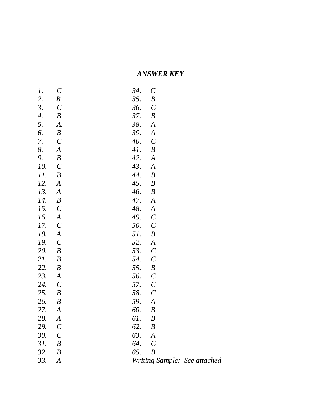#### *ANSWER KEY*

| 1.         | $\mathcal{C}_{0}^{(n)}$ | 34.   | $\mathcal{C}_{0}^{0}$   |                              |
|------------|-------------------------|-------|-------------------------|------------------------------|
| 2.         | $\boldsymbol{B}$        | 35.   | $\boldsymbol{B}$        |                              |
| 3.         | $\mathcal{C}$           | 36.   | $\mathcal{C}_{0}^{(n)}$ |                              |
| 4.         | $\boldsymbol{B}$        | 37.   | $\boldsymbol{B}$        |                              |
| 5.         | A.                      | 38.   | $\boldsymbol{A}$        |                              |
| 6.         | $\boldsymbol{B}$        | 39.   | $\boldsymbol{A}$        |                              |
| 7.         | $\mathcal{C}_{0}^{0}$   | 40.   | $\mathcal C$            |                              |
| 8.         | $\boldsymbol{A}$        | 41.   | $\boldsymbol{B}$        |                              |
| 9.         | $\boldsymbol{B}$        | 42.   | $\boldsymbol{A}$        |                              |
| 10.        | $\mathcal{C}_{0}^{(n)}$ | 43.   | $\boldsymbol{A}$        |                              |
| 11.        | $\boldsymbol{B}$        | 44.   | $\boldsymbol{B}$        |                              |
| 12.        | $\boldsymbol{A}$        | 45.   | $\boldsymbol{B}$        |                              |
| 13.        | $\boldsymbol{A}$        | 46.   | $\boldsymbol{B}$        |                              |
| 14.        | $\boldsymbol{B}$        | 47.   | $\boldsymbol{A}$        |                              |
| 15.        | $\mathcal{C}_{0}^{(n)}$ | 48.   | $\boldsymbol{A}$        |                              |
| 16.        | $\boldsymbol{A}$        | 49.   | $\mathcal{C}_{0}^{(n)}$ |                              |
| 17.        | $\mathcal{C}$           | 50.   | $\mathcal{C}_{0}^{0}$   |                              |
| 18.        | $\boldsymbol{A}$        | 51.   | $\boldsymbol{B}$        |                              |
| 19.        | $\mathcal{C}$           | 52.   | $\boldsymbol{A}$        |                              |
| <i>20.</i> | $\boldsymbol{B}$        | 53.   | $\mathcal{C}_{0}^{0}$   |                              |
| 21.        | $\boldsymbol{B}$        | 54.   | $\mathcal{C}_{0}^{0}$   |                              |
| 22.        | $\boldsymbol{B}$        | 55.   | $\boldsymbol{B}$        |                              |
| 23.        | $\boldsymbol{A}$        | 56.   | $\mathcal{C}_{0}^{0}$   |                              |
| 24.        | $\mathcal{C}_{0}^{0}$   | 57.   | $\mathcal{C}_{0}^{0}$   |                              |
| 25.        | $\boldsymbol{B}$        | 58.   | $\mathcal C$            |                              |
| 26.        | $\boldsymbol{B}$        | 59.   | $\boldsymbol{A}$        |                              |
| 27.        | $\boldsymbol{A}$        | 60.   | $\boldsymbol{B}$        |                              |
| 28.        | $\boldsymbol{A}$        | 61.   | $\boldsymbol{B}$        |                              |
| 29.        | $\mathcal C$            | 62.   | $\boldsymbol{B}$        |                              |
| 30.        | $\mathcal{C}$           | 63.   | $\boldsymbol{A}$        |                              |
| 31.        | $\boldsymbol{B}$        | 64. C |                         |                              |
| 32.        | $\boldsymbol{B}$        | 65.   | $\boldsymbol{B}$        |                              |
| 33.        | $\boldsymbol{A}$        |       |                         | Writing Sample: See attached |